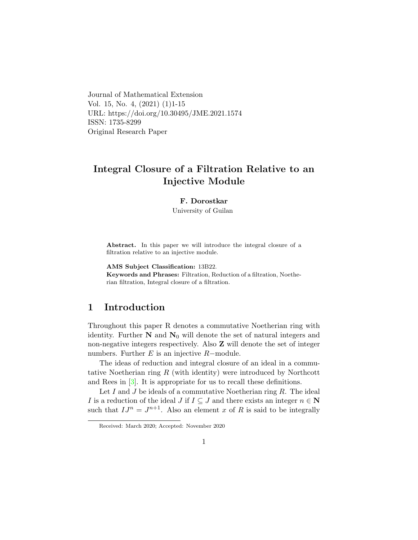Journal of Mathematical Extension Vol. 15, No. 4, (2021) (1)1-15 URL: https://doi.org/10.30495/JME.2021.1574 ISSN: 1735-8299 Original Research Paper

# Integral Closure of a Filtration Relative to an Injective Module

#### F. Dorostkar

University of Guilan

Abstract. In this paper we will introduce the integral closure of a filtration relative to an injective module.

AMS Subject Classification: 13B22.

Keywords and Phrases: Filtration, Reduction of a filtration, Noetherian filtration, Integral closure of a filtration.

### 1 Introduction

Throughout this paper R denotes a commutative Noetherian ring with identity. Further  $N$  and  $N_0$  will denote the set of natural integers and non-negative integers respectively. Also Z will denote the set of integer numbers. Further  $E$  is an injective  $R$ -module.

The ideas of reduction and integral closure of an ideal in a commutative Noetherian ring  $R$  (with identity) were introduced by Northcott and Rees in [\[3\]](#page-14-0). It is appropriate for us to recall these definitions.

Let I and J be ideals of a commutative Noetherian ring  $R$ . The ideal I is a reduction of the ideal J if  $I \subseteq J$  and there exists an integer  $n \in \mathbb{N}$ such that  $IJ^n = J^{n+1}$ . Also an element x of R is said to be integrally

Received: March 2020; Accepted: November 2020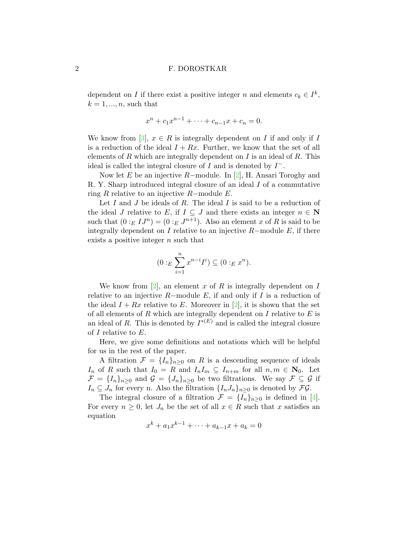dependent on I if there exist a positive integer n and elements  $c_k \in I^k$ ,  $k = 1, \ldots, n$ , such that

$$
x^{n} + c_{1}x^{n-1} + \cdots + c_{n-1}x + c_{n} = 0.
$$

We know from [\[3\]](#page-14-0),  $x \in R$  is integrally dependent on I if and only if I is a reduction of the ideal  $I + Rx$ . Further, we know that the set of all elements of  $R$  which are integrally dependent on  $I$  is an ideal of  $R$ . This ideal is called the integral closure of  $I$  and is denoted by  $I^-$ .

Now let E be an injective R–module. In [\[2\]](#page-13-0), H. Ansari Toroghy and R. Y. Sharp introduced integral closure of an ideal I of a commutative ring R relative to an injective R–module  $E$ .

Let I and J be ideals of R. The ideal I is said to be a reduction of the ideal J relative to E, if  $I \subseteq J$  and there exists an integer  $n \in \mathbb{N}$ such that  $(0:_{E} I J^{n}) = (0:_{E} J^{n+1})$ . Also an element x of R is said to be integrally dependent on I relative to an injective  $R$ -module E, if there exists a positive integer *n* such that

$$
(0:_{E} \sum_{i=1}^{n} x^{n-i} I^{i}) \subseteq (0:_{E} x^{n}).
$$

We know from [\[2\]](#page-13-0), an element x of R is integrally dependent on I relative to an injective  $R-$ module E, if and only if I is a reduction of the ideal  $I + Rx$  relative to E. Moreover in [\[2\]](#page-13-0), it is shown that the set of all elements of  $R$  which are integrally dependent on  $I$  relative to  $E$  is an ideal of R. This is denoted by  $I^{*(E)}$  and is called the integral closure of I relative to E.

Here, we give some definitions and notations which will be helpful for us in the rest of the paper.

A filtration  $\mathcal{F} = \{I_n\}_{n\geq 0}$  on R is a descending sequence of ideals  $I_n$  of R such that  $I_0 = R$  and  $I_n I_m \subseteq I_{n+m}$  for all  $n, m \in \mathbb{N}_0$ . Let  $\mathcal{F} = \{I_n\}_{n\geq 0}$  and  $\mathcal{G} = \{J_n\}_{n\geq 0}$  be two filtrations. We say  $\mathcal{F} \subseteq \mathcal{G}$  if  $I_n \subseteq J_n$  for every n. Also the filtration  $\{I_n J_n\}_{n\geq 0}$  is denoted by  $\mathcal{FG}$ .

The integral closure of a filtration  $\mathcal{F} = \{I_n\}_{n\geq 0}$  is defined in [\[4\]](#page-14-1). For every  $n \geq 0$ , let  $J_n$  be the set of all  $x \in R$  such that x satisfies an equation

$$
x^{k} + a_{1}x^{k-1} + \cdots + a_{k-1}x + a_{k} = 0
$$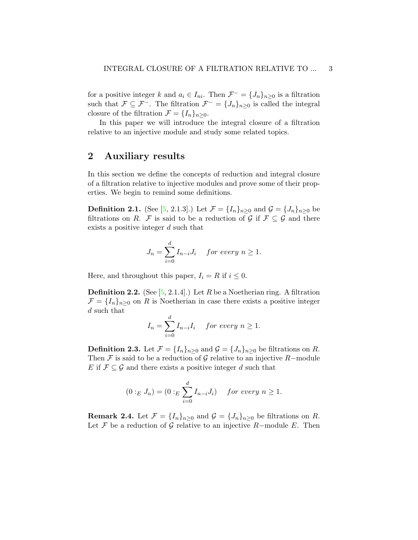for a positive integer k and  $a_i \in I_{ni}$ . Then  $\mathcal{F}^- = \{J_n\}_{n \geq 0}$  is a filtration such that  $\mathcal{F} \subseteq \mathcal{F}^-$ . The filtration  $\mathcal{F}^- = \{J_n\}_{n \geq 0}$  is called the integral closure of the filtration  $\mathcal{F} = \{I_n\}_{n>0}$ .

In this paper we will introduce the integral closure of a filtration relative to an injective module and study some related topics.

### 2 Auxiliary results

In this section we define the concepts of reduction and integral closure of a filtration relative to injective modules and prove some of their properties. We begin to remind some definitions.

**Definition 2.1.** (See [\[5,](#page-14-2) 2.1.3].) Let  $\mathcal{F} = \{I_n\}_{n\geq 0}$  and  $\mathcal{G} = \{J_n\}_{n\geq 0}$  be filtrations on R. F is said to be a reduction of G if  $\mathcal{F} \subseteq \mathcal{G}$  and there exists a positive integer d such that

$$
J_n = \sum_{i=0}^d I_{n-i} J_i \quad \text{for every } n \ge 1.
$$

Here, and throughout this paper,  $I_i = R$  if  $i \leq 0$ .

**Definition 2.2.** (See  $[5, 2.1.4]$  $[5, 2.1.4]$ .) Let R be a Noetherian ring. A filtration  $\mathcal{F} = \{I_n\}_{n\geq 0}$  on R is Noetherian in case there exists a positive integer d such that

$$
I_n = \sum_{i=0}^d I_{n-i} I_i \quad \text{for every } n \ge 1.
$$

**Definition 2.3.** Let  $\mathcal{F} = \{I_n\}_{n>0}$  and  $\mathcal{G} = \{J_n\}_{n>0}$  be filtrations on R. Then F is said to be a reduction of G relative to an injective R-module E if  $\mathcal{F} \subseteq \mathcal{G}$  and there exists a positive integer d such that

$$
(0:_{E} J_{n}) = (0:_{E} \sum_{i=0}^{d} I_{n-i} J_{i}) \quad for\ every\ n \ge 1.
$$

<span id="page-2-0"></span>**Remark 2.4.** Let  $\mathcal{F} = \{I_n\}_{n>0}$  and  $\mathcal{G} = \{J_n\}_{n>0}$  be filtrations on R. Let F be a reduction of G relative to an injective R-module E. Then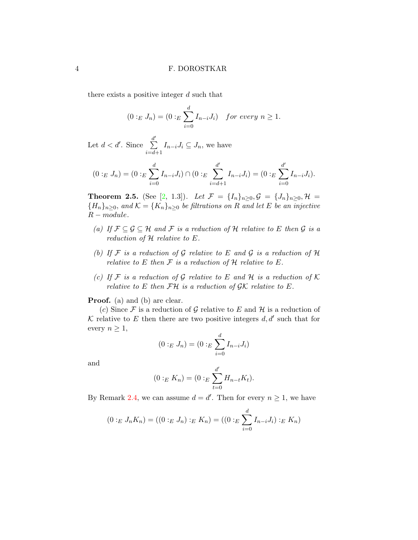there exists a positive integer d such that

$$
(0:_{E} J_{n}) = (0:_{E} \sum_{i=0}^{d} I_{n-i} J_{i}) \text{ for every } n \geq 1.
$$

Let  $d < d'$ . Since  $\frac{d'}{\sum}$  $i = d + 1$  $I_{n-i}J_i \subseteq J_n$ , we have

$$
(0:_{E} J_{n}) = (0:_{E} \sum_{i=0}^{d} I_{n-i} J_{i}) \cap (0:_{E} \sum_{i=d+1}^{d'} I_{n-i} J_{i}) = (0:_{E} \sum_{i=0}^{d'} I_{n-i} J_{i}).
$$

**Theorem 2.5.** (See [\[2,](#page-13-0) 1.3]). Let  $\mathcal{F} = \{I_n\}_{n\geq 0}, \mathcal{G} = \{J_n\}_{n\geq 0}, \mathcal{H} =$  ${H_n}_{n>0}$ , and  $\mathcal{K} = {K_n}_{n>0}$  be filtrations on R and let E be an injective  $R-modelle.$ 

- (a) If  $\mathcal{F} \subseteq \mathcal{G} \subseteq \mathcal{H}$  and  $\mathcal{F}$  is a reduction of  $\mathcal{H}$  relative to E then  $\mathcal{G}$  is a reduction of  $H$  relative to  $E$ .
- (b) If  $\mathcal F$  is a reduction of  $\mathcal G$  relative to  $E$  and  $\mathcal G$  is a reduction of  $\mathcal H$ relative to E then  $\mathcal F$  is a reduction of  $\mathcal H$  relative to E.
- (c) If  $\mathcal F$  is a reduction of  $\mathcal G$  relative to  $E$  and  $\mathcal H$  is a reduction of  $\mathcal K$ relative to E then  $\mathcal{FH}$  is a reduction of  $\mathcal{GK}$  relative to E.

**Proof.** (a) and (b) are clear.

(c) Since  $\mathcal F$  is a reduction of  $\mathcal G$  relative to E and H is a reduction of K relative to E then there are two positive integers  $d, d'$  such that for every  $n \geq 1$ ,

$$
(0:_{E} J_{n}) = (0:_{E} \sum_{i=0}^{d} I_{n-i} J_{i})
$$

and

$$
(0:_{E} K_{n}) = (0:_{E} \sum_{t=0}^{d'} H_{n-t} K_{t}).
$$

By Remark [2.4,](#page-2-0) we can assume  $d = d'$ . Then for every  $n \geq 1$ , we have

$$
(0:_{E} J_{n} K_{n}) = ((0:_{E} J_{n}):_{E} K_{n}) = ((0:_{E} \sum_{i=0}^{d} I_{n-i} J_{i}):_{E} K_{n})
$$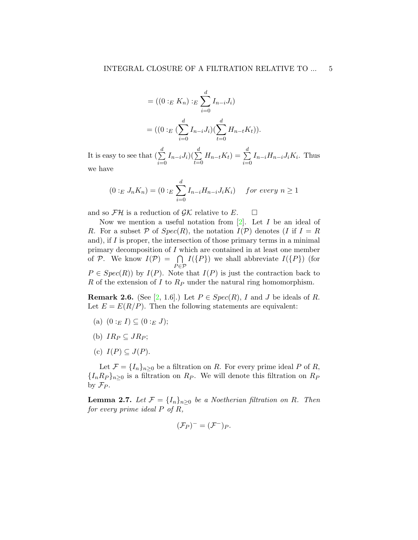$$
= ((0:_{E} K_{n}):_{E} \sum_{i=0}^{d} I_{n-i} J_{i})
$$

$$
= ((0:_{E} (\sum_{i=0}^{d} I_{n-i} J_{i}) (\sum_{t=0}^{d} H_{n-t} K_{t})).
$$

It is easy to see that  $\left(\sum_{i=1}^{d} a_i\right)^2$  $i=0$  $I_{n-i}J_i)(\sum^d$  $t=0$  $H_{n-t}K_t$ ) =  $\sum^d$  $i=0$  $I_{n-i}H_{n-i}J_iK_i$ . Thus we have

$$
(0:_{E} J_{n} K_{n}) = (0:_{E} \sum_{i=0}^{d} I_{n-i} H_{n-i} J_{i} K_{i}) \quad for \ every \ n \ge 1
$$

and so  $\mathcal{FH}$  is a reduction of  $\mathcal{GK}$  relative to E.  $\Box$ 

Now we mention a useful notation from  $[2]$ . Let I be an ideal of R. For a subset P of  $Spec(R)$ , the notation  $I(\mathcal{P})$  denotes (I if  $I = R$ ) and), if  $I$  is proper, the intersection of those primary terms in a minimal primary decomposition of I which are contained in at least one member of P. We know  $I(\mathcal{P}) = \bigcap$  $P \in \mathcal{P}$  $I(\{P\})$  we shall abbreviate  $I(\{P\})$  (for  $P \in Spec(R)$  by  $I(P)$ . Note that  $I(P)$  is just the contraction back to R of the extension of I to  $R_P$  under the natural ring homomorphism.

<span id="page-4-0"></span>**Remark 2.6.** (See [\[2,](#page-13-0) 1.6].) Let  $P \in Spec(R)$ , I and J be ideals of R. Let  $E = E(R/P)$ . Then the following statements are equivalent:

- (a)  $(0:_{E} I) \subseteq (0:_{E} J);$
- (b)  $IR_P \subset JR_P$ ;
- (c)  $I(P) \subseteq J(P)$ .

Let  $\mathcal{F} = \{I_n\}_{n\geq 0}$  be a filtration on R. For every prime ideal P of R,  ${I_n R_P}_{n>0}$  is a filtration on  $R_P$ . We will denote this filtration on  $R_P$ by  $\mathcal{F}_P$ .

<span id="page-4-1"></span>**Lemma 2.7.** Let  $\mathcal{F} = \{I_n\}_{n>0}$  be a Noetherian filtration on R. Then for every prime ideal  $P$  of  $R$ ,

$$
(\mathcal{F}_P)^{-} = (\mathcal{F}^{-})_P.
$$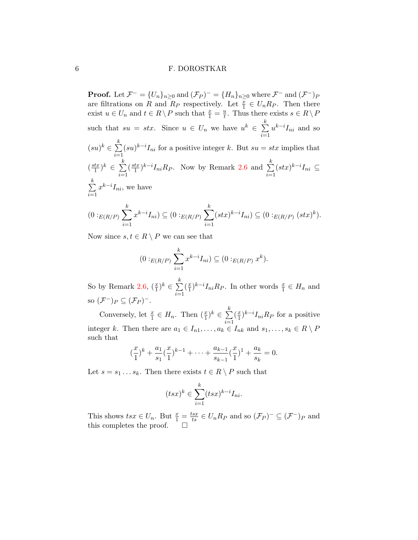**Proof.** Let  $\mathcal{F}^- = \{U_n\}_{n\geq 0}$  and  $(\mathcal{F}_P)^- = \{H_n\}_{n\geq 0}$  where  $\mathcal{F}^-$  and  $(\mathcal{F}^-)_P$ are filtrations on R and  $R_P$  respectively. Let  $\frac{x}{1} \in U_n R_P$ . Then there exist  $u \in U_n$  and  $t \in R \setminus P$  such that  $\frac{x}{1} = \frac{u}{t}$  $\frac{u}{t}$ . Thus there exists  $s \in R \setminus P$ such that  $su = stx$ . Since  $u \in U_n$  we have  $u^k \in \sum_{n=1}^k u^n$  $\frac{i=1}{i}$  $u^{k-i}I_{ni}$  and so  $(su)^k \in \sum^k$  $i=1$  $(su)^{k-i}I_{ni}$  for a positive integer k. But  $su = stx$  implies that  $\left(\frac{stx}{1}\right)$  $(\frac{tx}{1})^k \in \sum^k$  $i=1$  $\left(\frac{stx}{1}\right)$  $(\frac{tx}{1})^{k-i}I_{ni}R_P$ . Now by Remark [2.6](#page-4-0) and  $\sum_{i=1}^k$  $i=1$  $(stx)^{k-i}I_{ni}$  ⊆  $\sum_{i=1}^{k}$  $i=1$  $x^{k-i}I_{ni}$ , we have  $(0:_{E(R/P)} \sum$ k  $i=1$  $x^{k-i}I_{ni})\subseteq (0:_{E(R/P)}\sum$ k  $i=1$  $(stx)^{k-i}I_{ni}) \subseteq (0:_{E(R/P)} (stx)^{k}).$ 

Now since  $s, t \in R \setminus P$  we can see that

$$
(0:_{E(R/P)} \sum_{i=1}^{k} x^{k-i} I_{ni}) \subseteq (0:_{E(R/P)} x^{k}).
$$

So by Remark [2.6,](#page-4-0)  $(\frac{x}{1})^k \in \sum_{n=1}^k$  $i=1$  $\left(\frac{x}{1}\right)$  $(\frac{x}{1})^{k-i} I_{ni} R_P$ . In other words  $\frac{x}{1} \in H_n$  and so  $(\mathcal{F}^{-})_{P} \subseteq (\mathcal{F}_{P})^{-}$ .

Conversely, let  $\frac{x}{1} \in H_n$ . Then  $(\frac{x}{1})^k \in \sum_{i=1}^k$  $i=1$  $\left(\frac{x}{1}\right)$  $(\frac{x}{1})^{k-i} I_{ni} R_P$  for a positive integer k. Then there are  $a_1 \in I_{n1}, \ldots, a_k \in I_{nk}$  and  $s_1, \ldots, s_k \in R \setminus P$ such that

$$
(\frac{x}{1})^k + \frac{a_1}{s_1}(\frac{x}{1})^{k-1} + \dots + \frac{a_{k-1}}{s_{k-1}}(\frac{x}{1})^1 + \frac{a_k}{s_k} = 0.
$$

Let  $s = s_1 \dots s_k$ . Then there exists  $t \in R \setminus P$  such that

$$
(tsx)^k \in \sum_{i=1}^k (tsx)^{k-i} I_{ni}.
$$

This shows  $tsx \in U_n$ . But  $\frac{x}{1} = \frac{tsx}{ts} \in U_n R_P$  and so  $(\mathcal{F}_P)^- \subseteq (\mathcal{F}^-)_P$  and this completes the proof.  $\Box$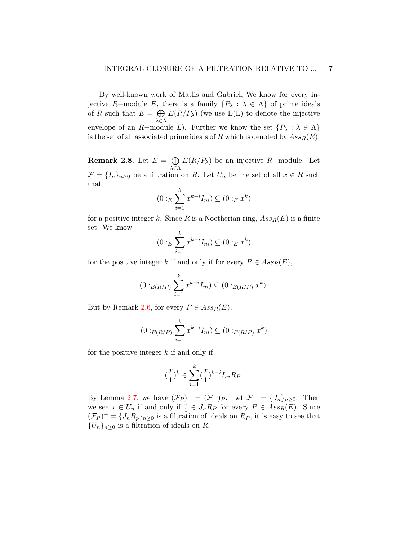By well-known work of Matlis and Gabriel, We know for every injective R–module E, there is a family  $\{P_\lambda : \lambda \in \Lambda\}$  of prime ideals of R such that  $E = \bigoplus E(R/P_\lambda)$  (we use E(L) to denote the injective λ∈Λ envelope of an R-module L). Further we know the set  $\{P_\lambda : \lambda \in \Lambda\}$ is the set of all associated prime ideals of R which is denoted by  $Ass_R(E)$ .

<span id="page-6-0"></span>**Remark 2.8.** Let  $E = \bigoplus$ λ∈Λ  $E(R/P<sub>\lambda</sub>)$  be an injective R-module. Let  $\mathcal{F} = \{I_n\}_{n\geq 0}$  be a filtration on R. Let  $U_n$  be the set of all  $x \in R$  such that

$$
(0:_{E} \sum_{i=1}^{k} x^{k-i} I_{ni}) \subseteq (0:_{E} x^{k})
$$

for a positive integer k. Since R is a Noetherian ring,  $Ass_R(E)$  is a finite set. We know

$$
(0:_{E} \sum_{i=1}^{k} x^{k-i} I_{ni}) \subseteq (0:_{E} x^{k})
$$

for the positive integer k if and only if for every  $P \in Ass_R(E)$ ,

$$
(0:_{E(R/P)} \sum_{i=1}^{k} x^{k-i} I_{ni}) \subseteq (0:_{E(R/P)} x^{k}).
$$

But by Remark [2.6,](#page-4-0) for every  $P \in Ass_R(E)$ ,

$$
(0:_{E(R/P)} \sum_{i=1}^{k} x^{k-i} I_{ni}) \subseteq (0:_{E(R/P)} x^{k})
$$

for the positive integer  $k$  if and only if

$$
(\frac{x}{1})^k\in \sum_{i=1}^k(\frac{x}{1})^{k-i}I_{ni}R_P.
$$

By Lemma [2.7,](#page-4-1) we have  $(\mathcal{F}_P)^{-} = (\mathcal{F}^{-})_P$ . Let  $\mathcal{F}^{-} = \{J_n\}_{n \geq 0}$ . Then we see  $x \in U_n$  if and only if  $\frac{x}{1} \in J_n R_P$  for every  $P \in Ass_R(\overline{E})$ . Since  $(\mathcal{F}_P)^{-} = \{J_n R_p\}_{n \geq 0}$  is a filtration of ideals on  $R_P$ , it is easy to see that  ${U_n}_{n\geq 0}$  is a filtration of ideals on R.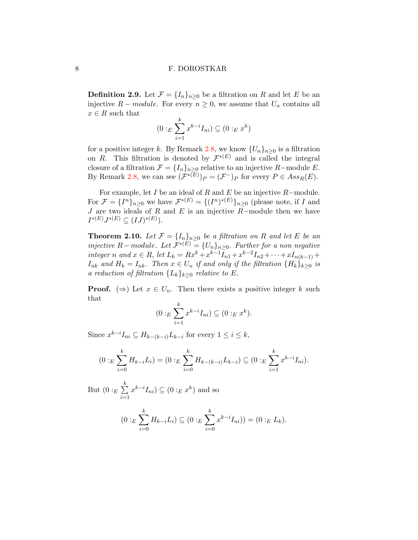**Definition 2.9.** Let  $\mathcal{F} = \{I_n\}_{n\geq 0}$  be a filtration on R and let E be an injective  $R$  – module. For every  $n \geq 0$ , we assume that  $U_n$  contains all  $x \in R$  such that

$$
(0:_{E} \sum_{i=1}^{k} x^{k-i} I_{ni}) \subseteq (0:_{E} x^{k})
$$

for a positive integer k. By Remark [2.8,](#page-6-0) we know  $\{U_n\}_{n\geq 0}$  is a filtration on R. This filtration is denoted by  $\mathcal{F}^{*(E)}$  and is called the integral closure of a filtration  $\mathcal{F} = \{I_n\}_{n\geq 0}$  relative to an injective R-module E. By Remark [2.8,](#page-6-0) we can see  $(\mathcal{F}^{*(E)})_P = (\mathcal{F}^-)_P$  for every  $P \in Ass_R(E)$ .

For example, let  $I$  be an ideal of  $R$  and  $E$  be an injective  $R-$  module. For  $\mathcal{F} = \{I^n\}_{n\geq 0}$  we have  $\mathcal{F}^{*(E)} = \{(I^n)^{*(E)}\}_{n\geq 0}$  (please note, if I and J are two ideals of R and E is an injective R-module then we have  $I^{*(E)}J^{*(E)} \subseteq (IJ)^{*(E)}$ ).

**Theorem 2.10.** Let  $\mathcal{F} = \{I_n\}_{n>0}$  be a filtration on R and let E be an injective R – module. Let  $\mathcal{F}^{*(E)} = \{U_n\}_{n \geq 0}$ . Further for a non negative integer n and  $x \in R$ , let  $L_k = Rx^k + x^{k-1}I_{n1} + x^{k-2}I_{n2} + \cdots + xI_{n(k-1)} +$  $I_{nk}$  and  $H_k = I_{nk}$ . Then  $x \in U_n$  if and only if the filtration  $\{H_k\}_{k\geq 0}$  is a reduction of filtration  ${L_k}_{k>0}$  relative to E.

**Proof.** ( $\Rightarrow$ ) Let  $x \in U_n$ . Then there exists a positive integer k such that

$$
(0:_{E} \sum_{i=1}^{k} x^{k-i} I_{ni}) \subseteq (0:_{E} x^{k}).
$$

Since  $x^{k-i}I_{ni} \subseteq H_{k-(k-i)}L_{k-i}$  for every  $1 \leq i \leq k$ ,

$$
(0:_{E} \sum_{i=0}^{k} H_{k-i} L_{i}) = (0:_{E} \sum_{i=0}^{k} H_{k-(k-i)} L_{k-i}) \subseteq (0:_{E} \sum_{i=1}^{k} x^{k-i} I_{ni}).
$$

But  $(0:_{E}\sum^{k}%$  $i=1$  $x^{k-i}I_{ni}) \subseteq (0:_{E} x^{k})$  and so

$$
(0:_{E} \sum_{i=0}^{k} H_{k-i} L_{i}) \subseteq (0:_{E} \sum_{i=0}^{k} x^{k-i} I_{ni})) = (0:_{E} L_{k}).
$$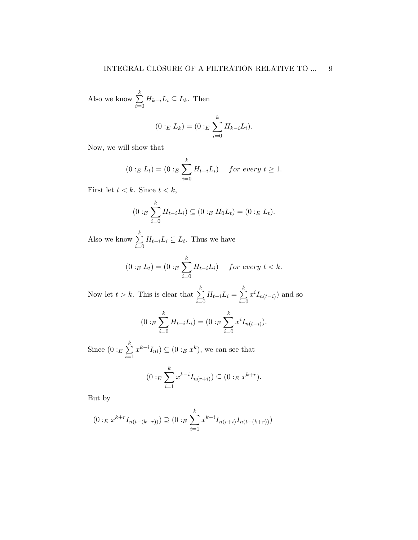Also we know  $\sum_{k=1}^{k}$  $i=0$  $H_{k-i}L_i \subseteq L_k$ . Then

$$
(0:_{E} L_{k}) = (0:_{E} \sum_{i=0}^{k} H_{k-i} L_{i}).
$$

Now, we will show that

$$
(0:_{E} L_{t}) = (0:_{E} \sum_{i=0}^{k} H_{t-i} L_{i}) \quad for\ every\ t \geq 1.
$$

First let  $t < k$ . Since  $t < k$ ,

$$
(0:_{E} \sum_{i=0}^{k} H_{t-i} L_{i}) \subseteq (0:_{E} H_{0} L_{t}) = (0:_{E} L_{t}).
$$

Also we know  $\sum_{k=1}^{k}$  $i=0$  $H_{t-i}L_i \subseteq L_t$ . Thus we have

$$
(0:_{E} L_{t}) = (0:_{E} \sum_{i=0}^{k} H_{t-i} L_{i}) \quad for\ every\ t < k.
$$

Now let  $t > k$ . This is clear that  $\sum_{k=1}^{k}$  $i=0$  $H_{t-i}L_i = \sum^k$  $i=0$  $x^{i}I_{n(t-i)}$  and so

$$
(0:_{E} \sum_{i=0}^{k} H_{t-i} L_i) = (0:_{E} \sum_{i=0}^{k} x^{i} I_{n(t-i)}).
$$

Since  $(0:_{E}\sum_{k=1}^{k}$  $i=1$  $x^{k-i}I_{ni}) \subseteq (0:_{E} x^{k}),$  we can see that

$$
(0:_{E} \sum_{i=1}^{k} x^{k-i} I_{n(r+i)}) \subseteq (0:_{E} x^{k+r}).
$$

But by

$$
(0:_{E} x^{k+r} I_{n(t-(k+r))}) \supseteq (0:_{E} \sum_{i=1}^{k} x^{k-i} I_{n(r+i)} I_{n(t-(k+r))})
$$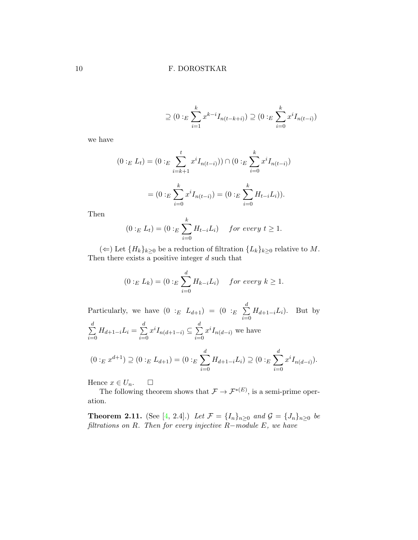$$
\supseteq (0:_{E} \sum_{i=1}^{k} x^{k-i} I_{n(t-k+i)}) \supseteq (0:_{E} \sum_{i=0}^{k} x^{i} I_{n(t-i)})
$$

we have

$$
(0:_{E} L_{t}) = (0:_{E} \sum_{i=k+1}^{t} x^{i} I_{n(t-i)})) \cap (0:_{E} \sum_{i=0}^{k} x^{i} I_{n(t-i)})
$$

$$
= (0:_{E} \sum_{i=0}^{k} x^{i} I_{n(t-i)}) = (0:_{E} \sum_{i=0}^{k} H_{t-i} L_{i})).
$$

Then

$$
(0:_{E} L_{t}) = (0:_{E} \sum_{i=0}^{k} H_{t-i} L_{i}) \quad for\ every\ t \geq 1.
$$

(←) Let  ${H_k}_{k≥0}$  be a reduction of filtration  ${L_k}_{k≥0}$  relative to M. Then there exists a positive integer  $d$  such that

$$
(0:_{E} L_{k}) = (0:_{E} \sum_{i=0}^{d} H_{k-i} L_{i}) \quad for every k \ge 1.
$$

Particularly, we have  $(0 :_{E} L_{d+1}) = (0 :_{E} \sum_{i=1}^{d}$  $i=0$  $H_{d+1-i}L_i$ ). But by  $\sum_{i=1}^{d}$  $i=0$  $H_{d+1-i}L_i = \sum^d$  $i=0$  $x^{i}I_{n(d+1-i)} \subseteq \sum_{i=1}^{d}$  $i=0$  $x^{i}I_{n(d-i)}$  we have  $(0:_{E} x^{d+1}) \supseteq (0:_{E} L_{d+1}) = (0:_{E} \sum)$ d  $i=0$  $H_{d+1-i}L_i)\supseteq (0:_{E}\sum)$ d  $i=0$  $x^{i}I_{n(d-i)}$ ).

Hence  $x \in U_n$ .  $\Box$ 

The following theorem shows that  $\mathcal{F} \to \mathcal{F}^{*(E)}$ , is a semi-prime operation.

**Theorem 2.11.** (See [\[4,](#page-14-1) 2.4].) Let  $\mathcal{F} = \{I_n\}_{n \geq 0}$  and  $\mathcal{G} = \{J_n\}_{n \geq 0}$  be filtrations on R. Then for every injective  $R$ -module E, we have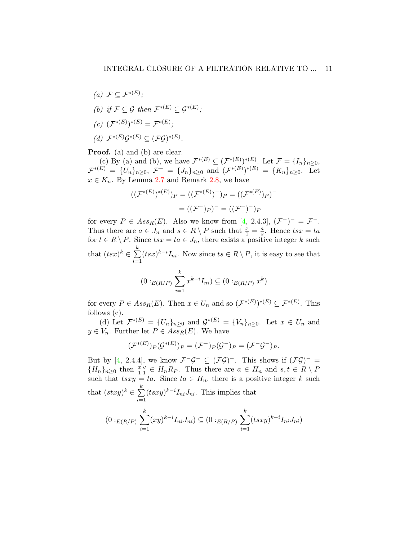(a)  $\mathcal{F} \subseteq \mathcal{F}^{*(E)}$ ; (b) if  $\mathcal{F} \subseteq \mathcal{G}$  then  $\mathcal{F}^{*(E)} \subseteq \mathcal{G}^{*(E)}$ ;  $(c)$   $(\mathcal{F}^{*(E)})^{*(E)} = \mathcal{F}^{*(E)};$ (d)  $\mathcal{F}^{*(E)}\mathcal{G}^{*(E)} \subseteq (\mathcal{F}\mathcal{G})^{*(E)}$ .

**Proof.** (a) and (b) are clear.

(c) By (a) and (b), we have  $\mathcal{F}^{*(E)} \subseteq (\mathcal{F}^{*(E)})^{*(E)}$ . Let  $\mathcal{F} = \{I_n\}_{n \geq 0}$ ,  $\mathcal{F}^{*(E)} = \{U_n\}_{n\geq 0}, \ \mathcal{F}^- = \{J_n\}_{n\geq 0} \ \text{and} \ (\mathcal{F}^{*(E)})^{*(E)} = \{K_n\}_{n\geq 0}. \ \ \text{Let}$  $x \in K_n$ . By Lemma [2.7](#page-4-1) and Remark [2.8,](#page-6-0) we have

$$
((\mathcal{F}^{*(E)})^{*(E)})_P = ((\mathcal{F}^{*(E)})^-)_P = ((\mathcal{F}^{*(E)})_P)^-
$$

$$
= ((\mathcal{F}^-)_P)^- = ((\mathcal{F}^-)^-)_P
$$

for every  $P \in Ass_R(E)$ . Also we know from [\[4,](#page-14-1) 2.4.3],  $(\mathcal{F}^-)^- = \mathcal{F}^-$ . Thus there are  $a \in J_n$  and  $s \in R \setminus P$  such that  $\frac{x}{1} = \frac{a}{s}$  $\frac{a}{s}$ . Hence  $tsx = ta$ for  $t \in R \setminus P$ . Since  $tsx = ta \in J_n$ , there exists a positive integer k such that  $(tsx)^k \in \sum_{k=1}^k$  $i=1$  $(tsx)^{k-i}I_{ni}$ . Now since  $ts \in R \setminus P$ , it is easy to see that

$$
(0:_{E(R/P)} \sum_{i=1}^{k} x^{k-i} I_{ni}) \subseteq (0:_{E(R/P)} x^{k})
$$

for every  $P \in Ass_R(E)$ . Then  $x \in U_n$  and so  $(\mathcal{F}^{*(E)})^{*(E)} \subseteq \mathcal{F}^{*(E)}$ . This follows (c).

(d) Let  $\mathcal{F}^{*(E)} = \{U_n\}_{n\geq 0}$  and  $\mathcal{G}^{*(E)} = \{V_n\}_{n\geq 0}$ . Let  $x \in U_n$  and  $y \in V_n$ . Further let  $P \in Ass_R(E)$ . We have

$$
(\mathcal{F}^{*(E)})_P(\mathcal{G}^{*(E)})_P = (\mathcal{F}^-)_P(\mathcal{G}^-)_P = (\mathcal{F}^- \mathcal{G}^-)_P.
$$

But by [\[4,](#page-14-1) 2.4.4], we know  $\mathcal{F}^{-}\mathcal{G}^{-} \subseteq (\mathcal{F}\mathcal{G})^{-}$ . This shows if  $(\mathcal{F}\mathcal{G})^{-} =$  ${H_n}_{n\geq 0}$  then  $\frac{x}{1}$  $\overline{y}$  $\frac{y}{1} \in H_n R_P$ . Thus there are  $a \in H_n$  and  $s, t \in R \setminus P$ such that  $t s x y = t a$ . Since  $t a \in H_n$ , there is a positive integer k such that  $(stxy)^k \in \sum^k$  $i=1$  $(t sxy)^{k-i} I_{ni} J_{ni}.$  This implies that

$$
(0:_{E(R/P)} \sum_{i=1}^{k} (xy)^{k-i} I_{ni} J_{ni}) \subseteq (0:_{E(R/P)} \sum_{i=1}^{k} (tsxy)^{k-i} I_{ni} J_{ni})
$$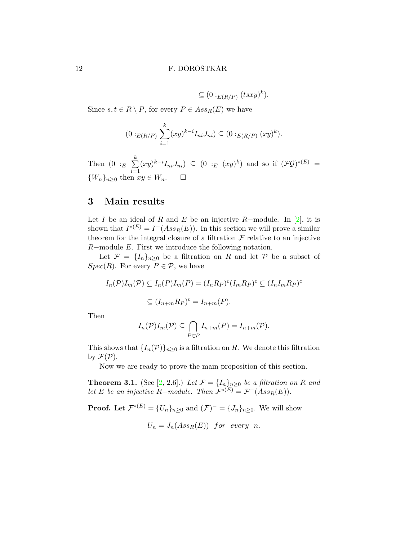$$
\subseteq (0:_{E(R/P)} (tsxy)^k).
$$

Since  $s, t \in R \setminus P$ , for every  $P \in Ass_R(E)$  we have

$$
(0:_{E(R/P)} \sum_{i=1}^{k} (xy)^{k-i} I_{ni} J_{ni}) \subseteq (0:_{E(R/P)} (xy)^{k}).
$$

Then  $(0 :_E \sum^k)$  $i=1$  $(xy)^{k-i}I_{ni}J_{ni}$   $\subseteq$   $(0:_{E}(xy)^{k})$  and so if  $(\mathcal{FG})^{*(E)}$  =  ${W_n}_{n>0}$  then  $xy \in W_n$ .

## 3 Main results

Let I be an ideal of R and E be an injective R-module. In [\[2\]](#page-13-0), it is shown that  $I^{*(E)} = I^-(Ass_R(E))$ . In this section we will prove a similar theorem for the integral closure of a filtration  $\mathcal F$  relative to an injective R−module E. First we introduce the following notation.

Let  $\mathcal{F} = \{I_n\}_{n\geq 0}$  be a filtration on R and let P be a subset of  $Spec(R)$ . For every  $P \in \mathcal{P}$ , we have

$$
I_n(\mathcal{P})I_m(\mathcal{P}) \subseteq I_n(P)I_m(P) = (I_nR_P)^c(I_mR_P)^c \subseteq (I_nI_mR_P)^c
$$
  

$$
\subseteq (I_{n+m}R_P)^c = I_{n+m}(P).
$$

Then

$$
I_n(\mathcal{P})I_m(\mathcal{P}) \subseteq \bigcap_{P \in \mathcal{P}} I_{n+m}(P) = I_{n+m}(\mathcal{P}).
$$

This shows that  $\{I_n(\mathcal{P})\}_{n\geq 0}$  is a filtration on R. We denote this filtration by  $\mathcal{F}(\mathcal{P})$ .

Now we are ready to prove the main proposition of this section.

<span id="page-11-0"></span>**Theorem 3.1.** (See [\[2,](#page-13-0) 2.6].) Let  $\mathcal{F} = \{I_n\}_{n\geq 0}$  be a filtration on R and let E be an injective R-module. Then  $\mathcal{F}^{*(E)} = \mathcal{F}^{-}(Ass_R(E)).$ 

**Proof.** Let  $\mathcal{F}^{*(E)} = \{U_n\}_{n\geq 0}$  and  $(\mathcal{F})^- = \{J_n\}_{n\geq 0}$ . We will show

$$
U_n = J_n(Ass_R(E)) \text{ for every } n.
$$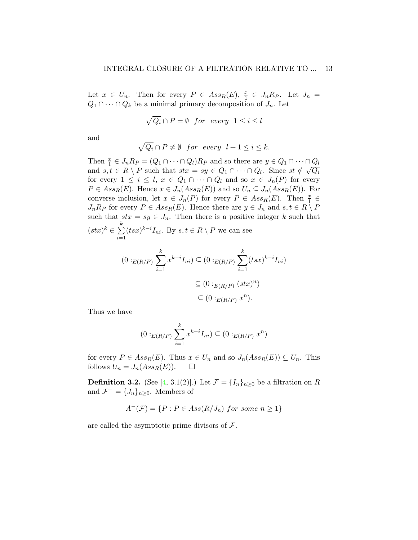Let  $x \in U_n$ . Then for every  $P \in Ass_R(E)$ ,  $\frac{x}{1} \in J_n R_P$ . Let  $J_n =$  $Q_1 \cap \cdots \cap Q_k$  be a minimal primary decomposition of  $J_n$ . Let

$$
\sqrt{Q_i} \cap P = \emptyset \quad \text{for every} \quad 1 \le i \le l
$$

and

$$
\sqrt{Q_i} \cap P \neq \emptyset \quad \text{for every} \quad l+1 \leq i \leq k.
$$

Then  $\frac{x}{1} \in J_n R_P = (Q_1 \cap \cdots \cap Q_l) R_P$  and so there are  $y \in Q_1 \cap \cdots \cap Q_l$ and  $s, t \in R \setminus P$  such that  $stx = sy \in Q_1 \cap \cdots \cap Q_l$ . Since  $st \notin \sqrt{Q_i}$ for every  $1 \leq i \leq l$ ,  $x \in Q_1 \cap \cdots \cap Q_l$  and so  $x \in J_n(P)$  for every  $P \in Ass_R(E)$ . Hence  $x \in J_n(Ass_R(E))$  and so  $U_n \subseteq J_n(Ass_R(E))$ . For converse inclusion, let  $x \in J_n(P)$  for every  $P \in Ass_R(E)$ . Then  $\frac{x}{1} \in$  $J_nR_P$  for every  $P \in Ass_R(E)$ . Hence there are  $y \in J_n$  and  $s, t \in R \setminus P$ such that  $stx = sy \in J_n$ . Then there is a positive integer k such that k

$$
(stx)^k \in \sum_{i=1}^{\infty} (tsx)^{k-i} I_{ni}
$$
. By  $s, t \in R \setminus P$  we can see

$$
(0:_{E(R/P)} \sum_{i=1}^{k} x^{k-i} I_{ni}) \subseteq (0:_{E(R/P)} \sum_{i=1}^{k} (tsx)^{k-i} I_{ni})
$$

$$
\subseteq (0:_{E(R/P)} (stx)^{n})
$$

$$
\subseteq (0:_{E(R/P)} x^{n}).
$$

Thus we have

$$
(0:_{E(R/P)} \sum_{i=1}^{k} x^{k-i} I_{ni}) \subseteq (0:_{E(R/P)} x^n)
$$

for every  $P \in Ass_R(E)$ . Thus  $x \in U_n$  and so  $J_n(Ass_R(E)) \subseteq U_n$ . This follows  $U_n = J_n(Ass_R(E)).$   $\Box$ 

<span id="page-12-0"></span>**Definition 3.2.** (See [\[4,](#page-14-1) 3.1(2)].) Let  $\mathcal{F} = \{I_n\}_{n\geq 0}$  be a filtration on R and  $\mathcal{F}^- = \{J_n\}_{n\geq 0}$ . Members of

$$
A^{-}(\mathcal{F}) = \{ P : P \in Ass(R/J_n) \text{ for some } n \geq 1 \}
$$

are called the asymptotic prime divisors of  $\mathcal{F}$ .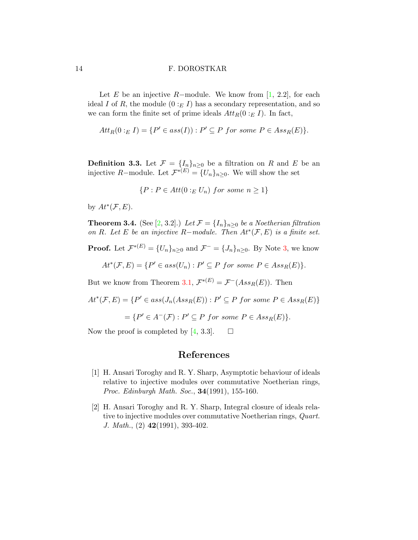Let E be an injective R–module. We know from [\[1,](#page-13-1) 2.2], for each ideal I of R, the module  $(0:_{E} I)$  has a secondary representation, and so we can form the finite set of prime ideals  $Att_R(0:_{E} I)$ . In fact,

$$
Att_R(0:_{E} I) = \{P' \in ass(I)) : P' \subseteq P \text{ for some } P \in Ass_R(E)\}.
$$

**Definition 3.3.** Let  $\mathcal{F} = \{I_n\}_{n\geq 0}$  be a filtration on R and E be an injective R-module. Let  $\mathcal{F}^{*(E)} = \{U_n\}_{n \geq 0}$ . We will show the set

$$
\{P: P \in Att(0:_{E} U_n) \ for \ some \ n \ge 1\}
$$

by  $At^*(\mathcal{F}, E)$ .

**Theorem 3.4.** (See [\[2,](#page-13-0) 3.2].) Let  $\mathcal{F} = \{I_n\}_{n\geq 0}$  be a Noetherian filtration on R. Let E be an injective R-module. Then  $At^*(\mathcal{F}, E)$  is a finite set.

**Proof.** Let  $\mathcal{F}^{*(E)} = \{U_n\}_{n\geq 0}$  and  $\mathcal{F}^{-} = \{J_n\}_{n\geq 0}$ . By Note [3,](#page-12-0) we know

 $At^*(\mathcal{F}, E) = \{P' \in ass(U_n) : P' \subseteq P \text{ for some } P \in Ass_R(E)\}.$ 

But we know from Theorem [3.1,](#page-11-0)  $\mathcal{F}^{*(E)} = \mathcal{F}^{-}(Ass_R(E))$ . Then

$$
At^*(\mathcal{F}, E) = \{ P' \in ass(J_n(Ass_R(E)) : P' \subseteq P \text{ for some } P \in Ass_R(E) \}
$$

$$
= \{ P' \in A^-(\mathcal{F}) : P' \subseteq P \text{ for some } P \in Ass_R(E) \}.
$$

Now the proof is completed by [\[4,](#page-14-1) 3.3].  $\square$ 

# References

- <span id="page-13-1"></span>[1] H. Ansari Toroghy and R. Y. Sharp, Asymptotic behaviour of ideals relative to injective modules over commutative Noetherian rings, Proc. Edinburgh Math. Soc., 34(1991), 155-160.
- <span id="page-13-0"></span>[2] H. Ansari Toroghy and R. Y. Sharp, Integral closure of ideals relative to injective modules over commutative Noetherian rings, Quart. J. Math.,  $(2)$  42(1991), 393-402.